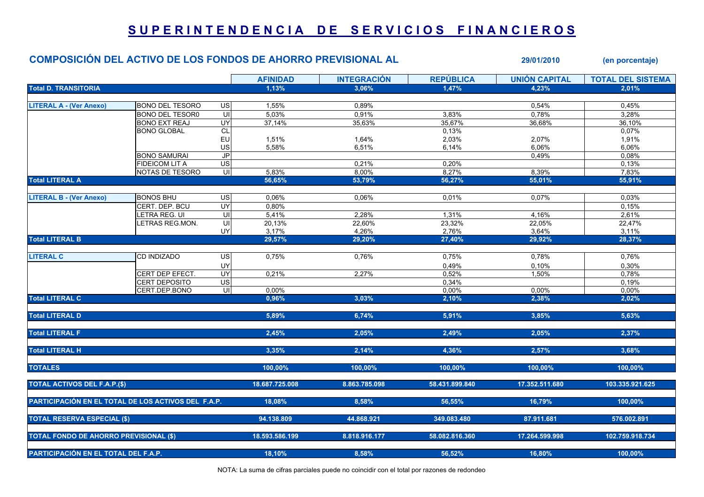## SUPERINTENDENCIA DE SERVICIOS FINANCIEROS

## COMPOSICIÓN DEL ACTIVO DE LOS FONDOS DE AHORRO PREVISIONAL AL 29/01/2010 (en porcentaje)

AFINIDAD INTEGRACIÓN REPÚBLICA UNIÓN CAPITAL TOTAL DEL SISTEMA Total D. TRANSITORIA 1,13% 3,06% 1,47% 4,23% 2,01% LITERAL A - (Ver Anexo) BONO DEL TESORO US 1,55% 0,89% 0,54% 0,45% BONO DEL TESOR0 UI| 5,03% 0,91% 3,83% 0,78% | 3,28% BONO EXT REAJ UY| 37,14% 35,63% 35,67% 36,68% | 36,10% BONO GLOBAL CL 0,13% 0,07% EU 1,51% 1,64% 2,03% 2,07% 1,91% US| 5,58% 6,51% 6,14% 6,06% | 6,06% 6,06% BONO SAMURAI JP 0,49% 0,08% FIDEICOM LIT A US| 0,21% 0,20% 0,13%  $NOTAS$  DE TESORO UI  $1/3.583\%$  8,00% 8,27% 8,27% 8,39% 8,39% 8,39% 8,39% 8,39% 8,59% 8,59% 8,59% 8,59% 8,59% 8,59% 8,59% 8,59% 8,59% 8,59% 8,59% 8,59% 8,59% 8,59% 8,59% 8,59% 8,59% 8,59% 8,59% 8,59% 8,59% 8,59% 8,59% 8,59 Total LITERAL A 56,65% 53,79% 56,27% 55,01% 55,91% LITERAL B - (Ver Anexo) |BONOS BHU US| 0,06% 0,01% 0,07% | 0,03% CERT. DEP. BCU UY 0,80% 0,15% LETRA REG. UI UI 5,41% 2,28% 1,31% 4,16% 2,61% LETRAS REG.MON. UI 20,13% 22,60% 23,32% 22,05% 22,47% UY| 3,17% 4,26% 2,76% 3,64% | 3,11% Total LITERAL B 29,57% 29,20% 27,40% 29,92% 28,37% LITERAL C |CD INDIZADO US| 0,75% 0,76% 0,75% 0,78% | 0,76%  $0,10\%$  0,10% 0,30% 0,10% 0,30% 0,10% 0,30% 0,30% 0,30% 0,10% 0,30% 0,50% 0,50% 0,50% 0,50% 0,50% 0,50% 0,50% 0,50% 0,50% 0,50% 0,50% 0,50% 0,50% 0,50% 0,50% 0,50% 0,50% 0,50% 0,50% 0,50% 0,50% 0,50% 0,50% 0,50% 0,50% 0, CERT DEP EFECT. UY 0,21% 2,27% 0,52% 1,50% 0,78% CERT DEPOSITO US| 0,34% 0,19% CERT.DEP.BONO UI| 0,00% 0,00% 0,00% 0,00% 0,00% 0,00% 0,00% 0,00% Total LITERAL C  $_{\rm 2,02\%}$   $_{\rm 2,03\%}$   $_{\rm 2,04\%}$   $_{\rm 2,02\%}$   $_{\rm 2,02\%}$   $_{\rm 2,02\%}$   $_{\rm 2,02\%}$   $_{\rm 2,02\%}$ Total LITERAL D 5,89% 6,74% 5,91% 3,85% 5,63% Total LITERAL F 2,45% 2,05% 2,49% 2,05% 2,37% Total LITERAL H 3,35% 2,14% 4,36% 2,57% 3,68% TOTALES 100,00% 100,00% 100,00% 100,00% 100,00% TOTAL ACTIVOS DEL F.A.P.(\$) 18.687.725.008 18.687.725.008 18.863.785.098 58.431.899.840 17.352.511.680 103.335.921.625 PARTICIPACIÓN EN EL TOTAL DE LOS ACTIVOS DEL F.A.P. 18,08% 8,58% 56,55% 16,79% 100,00% TOTAL RESERVA ESPECIAL (\$) 94.138.809 44.868.921 349.083.480 87.911.681 576.002.891 TOTAL FONDO DE AHORRO PREVISIONAL (\$) 18.593.586.199 8.818.916.177 58.082.816.360 17.264.599.998 102.759.918.734 PARTICIPACIÓN EN EL TOTAL DEL F.A.P. 18,10% 8,58% 56,52% 16,80% 100,00%

NOTA: La suma de cifras parciales puede no coincidir con el total por razones de redondeo